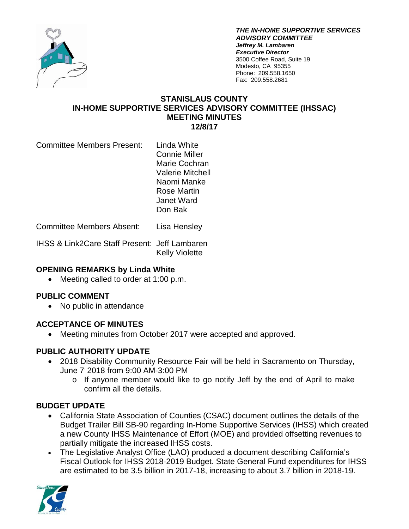

*THE IN-HOME SUPPORTIVE SERVICES ADVISORY COMMITTEE Jeffrey M. Lambaren Executive Director* 3500 Coffee Road, Suite 19 Modesto, CA 95355 Phone: 209.558.1650 Fax: 209.558.2681

#### **STANISLAUS COUNTY IN-HOME SUPPORTIVE SERVICES ADVISORY COMMITTEE (IHSSAC) MEETING MINUTES 12/8/17**

Committee Members Present: Linda White

Connie Miller Marie Cochran Valerie Mitchell Naomi Manke Rose Martin Janet Ward Don Bak

Committee Members Absent: Lisa Hensley

IHSS & Link2Care Staff Present: Jeff Lambaren Kelly Violette

### **OPENING REMARKS by Linda White**

• Meeting called to order at 1:00 p.m.

### **PUBLIC COMMENT**

• No public in attendance

### **ACCEPTANCE OF MINUTES**

• Meeting minutes from October 2017 were accepted and approved.

### **PUBLIC AUTHORITY UPDATE**

- 2018 Disability Community Resource Fair will be held in Sacramento on Thursday, June 7, 2018 from 9:00 AM-3:00 PM
	- o If anyone member would like to go notify Jeff by the end of April to make confirm all the details.

### **BUDGET UPDATE**

- California State Association of Counties (CSAC) document outlines the details of the Budget Trailer Bill SB-90 regarding In-Home Supportive Services (IHSS) which created a new County IHSS Maintenance of Effort (MOE) and provided offsetting revenues to partially mitigate the increased IHSS costs.
- The Legislative Analyst Office (LAO) produced a document describing California's Fiscal Outlook for IHSS 2018-2019 Budget. State General Fund expenditures for IHSS are estimated to be 3.5 billion in 2017-18, increasing to about 3.7 billion in 2018-19.

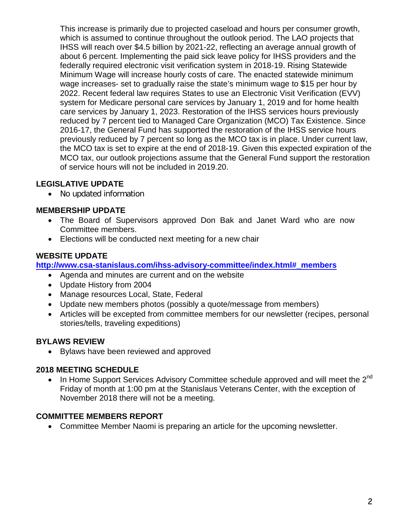This increase is primarily due to projected caseload and hours per consumer growth, which is assumed to continue throughout the outlook period. The LAO projects that IHSS will reach over \$4.5 billion by 2021-22, reflecting an average annual growth of about 6 percent. Implementing the paid sick leave policy for IHSS providers and the federally required electronic visit verification system in 2018-19. Rising Statewide Minimum Wage will increase hourly costs of care. The enacted statewide minimum wage increases- set to gradually raise the state's minimum wage to \$15 per hour by 2022. Recent federal law requires States to use an Electronic Visit Verification (EVV) system for Medicare personal care services by January 1, 2019 and for home health care services by January 1, 2023. Restoration of the IHSS services hours previously reduced by 7 percent tied to Managed Care Organization (MCO) Tax Existence. Since 2016-17, the General Fund has supported the restoration of the IHSS service hours previously reduced by 7 percent so long as the MCO tax is in place. Under current law, the MCO tax is set to expire at the end of 2018-19. Given this expected expiration of the MCO tax, our outlook projections assume that the General Fund support the restoration of service hours will not be included in 2019.20.

# **LEGISLATIVE UPDATE**

• No updated information

### **MEMBERSHIP UPDATE**

- The Board of Supervisors approved Don Bak and Janet Ward who are now Committee members.
- Elections will be conducted next meeting for a new chair

### **WEBSITE UPDATE**

**[http://www.csa-stanislaus.com/ihss-advisory-committee/index.html#\\_members](http://www.csa-stanislaus.com/ihss-advisory-committee/index.html#_members)**

- Agenda and minutes are current and on the website
- Update History from 2004
- Manage resources Local, State, Federal
- Update new members photos (possibly a quote/message from members)
- Articles will be excepted from committee members for our newsletter (recipes, personal stories/tells, traveling expeditions)

### **BYLAWS REVIEW**

• Bylaws have been reviewed and approved

### **2018 MEETING SCHEDULE**

In Home Support Services Advisory Committee schedule approved and will meet the 2<sup>nd</sup> Friday of month at 1:00 pm at the Stanislaus Veterans Center, with the exception of November 2018 there will not be a meeting.

### **COMMITTEE MEMBERS REPORT**

• Committee Member Naomi is preparing an article for the upcoming newsletter.